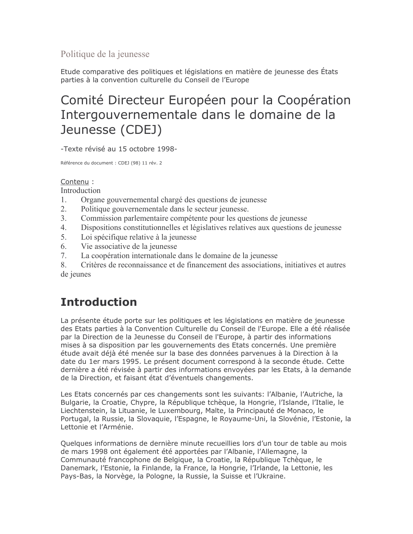Politique de la jeunesse

Etude comparative des politiques et législations en matière de jeunesse des États parties à la convention culturelle du Conseil de l'Europe

# Comité Directeur Européen pour la Coopération Intergouvernementale dans le domaine de la Jeunesse (CDEJ)

-Texte révisé au 15 octobre 1998-

Référence du document : CDEJ (98) 11 rév. 2

#### Contenu:

**Introduction** 

- $\mathbf{1}$ Organe gouvernemental chargé des questions de jeunesse
- $2<sup>1</sup>$ Politique gouvernementale dans le secteur jeunesse.
- $3<sub>1</sub>$ Commission parlementaire compétente pour les questions de jeunesse
- Dispositions constitutionnelles et législatives relatives aux questions de jeunesse  $\overline{4}$
- $5<sup>7</sup>$ Loi spécifique relative à la jeunesse
- 6 Vie associative de la jeunesse
- 7. La coopération internationale dans le domaine de la jeunesse

Critères de reconnaissance et de financement des associations, initiatives et autres 8 de jeunes

# **Introduction**

La présente étude porte sur les politiques et les législations en matière de jeunesse des Etats parties à la Convention Culturelle du Conseil de l'Europe. Elle a été réalisée par la Direction de la Jeunesse du Conseil de l'Europe, à partir des informations mises à sa disposition par les gouvernements des Etats concernés. Une première étude avait déjà été menée sur la base des données parvenues à la Direction à la date du 1er mars 1995. Le présent document correspond à la seconde étude. Cette dernière a été révisée à partir des informations envoyées par les Etats, à la demande de la Direction, et faisant état d'éventuels changements.

Les Etats concernés par ces changements sont les suivants: l'Albanie, l'Autriche, la Bulgarie, la Croatie, Chypre, la République tchèque, la Hongrie, l'Islande, l'Italie, le Liechtenstein, la Lituanie, le Luxembourg, Malte, la Principauté de Monaco, le Portugal, la Russie, la Slovaquie, l'Espagne, le Royaume-Uni, la Slovénie, l'Estonie, la Lettonie et l'Arménie.

Quelques informations de dernière minute recueillies lors d'un tour de table au mois de mars 1998 ont également été apportées par l'Albanie, l'Allemagne, la Communauté francophone de Belgique, la Croatie, la République Tchèque, le Danemark, l'Estonie, la Finlande, la France, la Hongrie, l'Irlande, la Lettonie, les Pays-Bas, la Norvège, la Pologne, la Russie, la Suisse et l'Ukraine.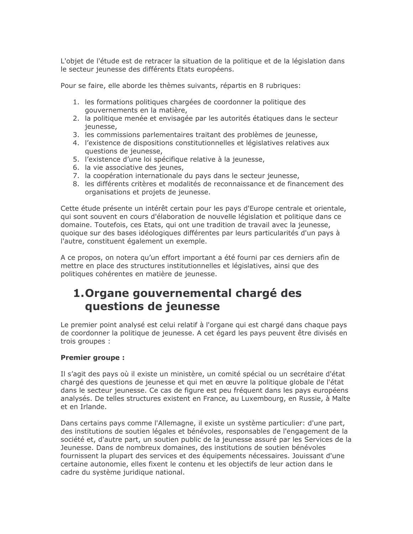L'objet de l'étude est de retracer la situation de la politique et de la législation dans le secteur jeunesse des différents Etats européens.

Pour se faire, elle aborde les thèmes suivants, répartis en 8 rubriques:

- 1. les formations politiques chargées de coordonner la politique des gouvernements en la matière,
- 2. la politique menée et envisagée par les autorités étatiques dans le secteur ieunesse,
- 3. les commissions parlementaires traitant des problèmes de jeunesse,
- 4. l'existence de dispositions constitutionnelles et législatives relatives aux questions de jeunesse,
- 5. l'existence d'une loi spécifique relative à la jeunesse,
- 6. la vie associative des jeunes,
- 7. la coopération internationale du pays dans le secteur jeunesse,
- 8. les différents critères et modalités de reconnaissance et de financement des organisations et projets de jeunesse.

Cette étude présente un intérêt certain pour les pays d'Europe centrale et orientale, qui sont souvent en cours d'élaboration de nouvelle législation et politique dans ce domaine. Toutefois, ces Etats, qui ont une tradition de travail avec la jeunesse, quoique sur des bases idéologiques différentes par leurs particularités d'un pays à l'autre, constituent également un exemple.

A ce propos, on notera qu'un effort important a été fourni par ces derniers afin de mettre en place des structures institutionnelles et législatives, ainsi que des politiques cohérentes en matière de jeunesse.

## 1. Organe gouvernemental chargé des questions de jeunesse

Le premier point analysé est celui relatif à l'organe qui est chargé dans chaque pays de coordonner la politique de jeunesse. A cet égard les pays peuvent être divisés en trois groupes :

#### **Premier groupe:**

Il s'agit des pays où il existe un ministère, un comité spécial ou un secrétaire d'état chargé des questions de jeunesse et qui met en œuvre la politique globale de l'état dans le secteur jeunesse. Ce cas de figure est peu fréquent dans les pays européens analysés. De telles structures existent en France, au Luxembourg, en Russie, à Malte et en Irlande.

Dans certains pays comme l'Allemagne, il existe un système particulier: d'une part, des institutions de soutien légales et bénévoles, responsables de l'engagement de la société et, d'autre part, un soutien public de la jeunesse assuré par les Services de la Jeunesse. Dans de nombreux domaines, des institutions de soutien bénévoles fournissent la plupart des services et des équipements nécessaires. Jouissant d'une certaine autonomie, elles fixent le contenu et les objectifs de leur action dans le cadre du système juridique national.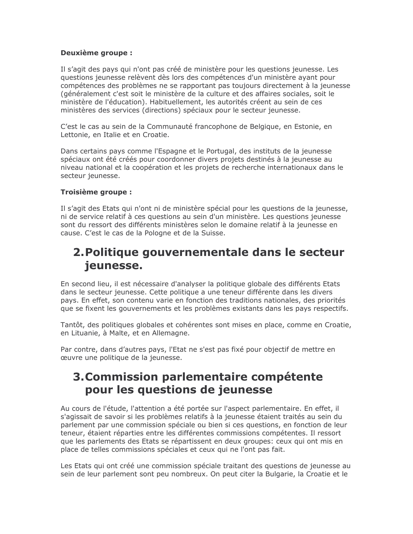#### Deuxième groupe :

Il s'agit des pays qui n'ont pas créé de ministère pour les questions jeunesse. Les questions jeunesse relèvent dès lors des compétences d'un ministère ayant pour compétences des problèmes ne se rapportant pas toujours directement à la jeunesse (généralement c'est soit le ministère de la culture et des affaires sociales, soit le ministère de l'éducation). Habituellement, les autorités créent au sein de ces ministères des services (directions) spéciaux pour le secteur jeunesse.

C'est le cas au sein de la Communauté francophone de Belgique, en Estonie, en Lettonie, en Italie et en Croatie.

Dans certains pays comme l'Espagne et le Portugal, des instituts de la jeunesse spéciaux ont été créés pour coordonner divers projets destinés à la jeunesse au niveau national et la coopération et les projets de recherche internationaux dans le secteur jeunesse.

#### Troisième groupe :

Il s'agit des Etats qui n'ont ni de ministère spécial pour les questions de la jeunesse, ni de service relatif à ces questions au sein d'un ministère. Les questions jeunesse sont du ressort des différents ministères selon le domaine relatif à la jeunesse en cause. C'est le cas de la Pologne et de la Suisse.

### 2. Politique gouvernementale dans le secteur jeunesse.

En second lieu, il est nécessaire d'analyser la politique globale des différents Etats dans le secteur jeunesse. Cette politique a une teneur différente dans les divers pays. En effet, son contenu varie en fonction des traditions nationales, des priorités que se fixent les gouvernements et les problèmes existants dans les pays respectifs.

Tantôt, des politiques globales et cohérentes sont mises en place, comme en Croatie, en Lituanie, à Malte, et en Allemagne.

Par contre, dans d'autres pays, l'Etat ne s'est pas fixé pour objectif de mettre en œuvre une politique de la jeunesse.

### 3. Commission parlementaire compétente pour les questions de jeunesse

Au cours de l'étude, l'attention a été portée sur l'aspect parlementaire. En effet, il s'agissait de savoir si les problèmes relatifs à la jeunesse étaient traités au sein du parlement par une commission spéciale ou bien si ces questions, en fonction de leur teneur, étaient réparties entre les différentes commissions compétentes. Il ressort que les parlements des Etats se répartissent en deux groupes: ceux qui ont mis en place de telles commissions spéciales et ceux qui ne l'ont pas fait.

Les Etats qui ont créé une commission spéciale traitant des questions de jeunesse au sein de leur parlement sont peu nombreux. On peut citer la Bulgarie, la Croatie et le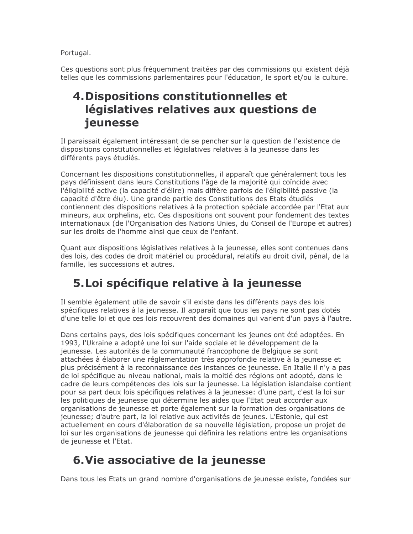Portugal.

Ces questions sont plus fréquemment traitées par des commissions qui existent déjà telles que les commissions parlementaires pour l'éducation, le sport et/ou la culture.

### 4. Dispositions constitutionnelles et législatives relatives aux questions de jeunesse

Il paraissait également intéressant de se pencher sur la question de l'existence de dispositions constitutionnelles et législatives relatives à la jeunesse dans les différents pays étudiés.

Concernant les dispositions constitutionnelles, il apparaît que généralement tous les pays définissent dans leurs Constitutions l'âge de la majorité qui coïncide avec l'éligibilité active (la capacité d'élire) mais diffère parfois de l'éligibilité passive (la capacité d'être élu). Une grande partie des Constitutions des Etats étudiés contiennent des dispositions relatives à la protection spéciale accordée par l'Etat aux mineurs, aux orphelins, etc. Ces dispositions ont souvent pour fondement des textes internationaux (de l'Organisation des Nations Unies, du Conseil de l'Europe et autres) sur les droits de l'homme ainsi que ceux de l'enfant.

Quant aux dispositions législatives relatives à la jeunesse, elles sont contenues dans des lois, des codes de droit matériel ou procédural, relatifs au droit civil, pénal, de la famille, les successions et autres.

# 5. Loi spécifique relative à la jeunesse

Il semble également utile de savoir s'il existe dans les différents pays des lois spécifiques relatives à la jeunesse. Il apparaît que tous les pays ne sont pas dotés d'une telle loi et que ces lois recouvrent des domaines qui varient d'un pays à l'autre.

Dans certains pays, des lois spécifiques concernant les jeunes ont été adoptées. En 1993, l'Ukraine a adopté une loi sur l'aide sociale et le développement de la jeunesse. Les autorités de la communauté francophone de Belgique se sont attachées à élaborer une réglementation très approfondie relative à la jeunesse et plus précisément à la reconnaissance des instances de jeunesse. En Italie il n'y a pas de loi spécifique au niveau national, mais la moitié des régions ont adopté, dans le cadre de leurs compétences des lois sur la jeunesse. La législation islandaise contient pour sa part deux lois spécifiques relatives à la jeunesse: d'une part, c'est la loi sur les politiques de jeunesse qui détermine les aides que l'Etat peut accorder aux organisations de jeunesse et porte également sur la formation des organisations de jeunesse; d'autre part, la loi relative aux activités de jeunes. L'Estonie, qui est actuellement en cours d'élaboration de sa nouvelle législation, propose un projet de loi sur les organisations de jeunesse qui définira les relations entre les organisations de jeunesse et l'Etat.

# 6. Vie associative de la jeunesse

Dans tous les Etats un grand nombre d'organisations de jeunesse existe, fondées sur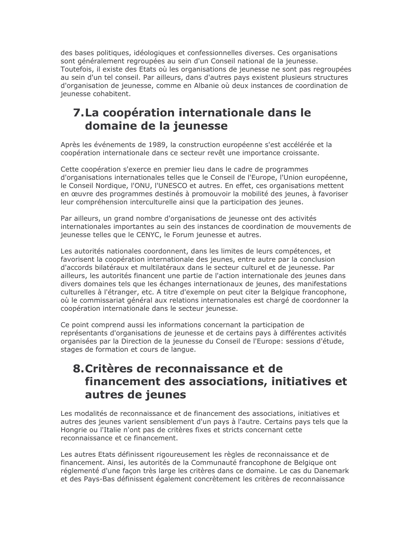des bases politiques, idéologiques et confessionnelles diverses. Ces organisations sont généralement regroupées au sein d'un Conseil national de la jeunesse. Toutefois, il existe des Etats où les organisations de jeunesse ne sont pas regroupées au sein d'un tel conseil. Par ailleurs, dans d'autres pays existent plusieurs structures d'organisation de jeunesse, comme en Albanie où deux instances de coordination de jeunesse cohabitent.

## 7. La coopération internationale dans le domaine de la jeunesse

Après les événements de 1989, la construction européenne s'est accélérée et la coopération internationale dans ce secteur revêt une importance croissante.

Cette coopération s'exerce en premier lieu dans le cadre de programmes d'organisations internationales telles que le Conseil de l'Europe, l'Union européenne, le Conseil Nordique, l'ONU, l'UNESCO et autres. En effet, ces organisations mettent en œuvre des programmes destinés à promouvoir la mobilité des jeunes, à favoriser leur compréhension interculturelle ainsi que la participation des jeunes.

Par ailleurs, un grand nombre d'organisations de jeunesse ont des activités internationales importantes au sein des instances de coordination de mouvements de jeunesse telles que le CENYC, le Forum jeunesse et autres.

Les autorités nationales coordonnent, dans les limites de leurs compétences, et favorisent la coopération internationale des jeunes, entre autre par la conclusion d'accords bilatéraux et multilatéraux dans le secteur culturel et de jeunesse. Par ailleurs, les autorités financent une partie de l'action internationale des jeunes dans divers domaines tels que les échanges internationaux de jeunes, des manifestations culturelles à l'étranger, etc. A titre d'exemple on peut citer la Belgique francophone, où le commissariat général aux relations internationales est chargé de coordonner la coopération internationale dans le secteur jeunesse.

Ce point comprend aussi les informations concernant la participation de représentants d'organisations de jeunesse et de certains pays à différentes activités organisées par la Direction de la jeunesse du Conseil de l'Europe: sessions d'étude, stages de formation et cours de langue.

### 8. Critères de reconnaissance et de financement des associations, initiatives et autres de jeunes

Les modalités de reconnaissance et de financement des associations, initiatives et autres des jeunes varient sensiblement d'un pays à l'autre. Certains pays tels que la Hongrie ou l'Italie n'ont pas de critères fixes et stricts concernant cette reconnaissance et ce financement.

Les autres Etats définissent rigoureusement les règles de reconnaissance et de financement. Ainsi, les autorités de la Communauté francophone de Belgique ont réglementé d'une façon très large les critères dans ce domaine. Le cas du Danemark et des Pays-Bas définissent également concrètement les critères de reconnaissance